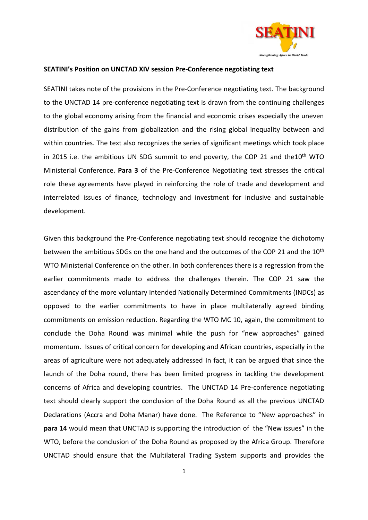

# **SEATINI's Position on UNCTAD XIV session Pre-Conference negotiating text**

SEATINI takes note of the provisions in the Pre-Conference negotiating text. The background to the UNCTAD 14 pre-conference negotiating text is drawn from the continuing challenges to the global economy arising from the financial and economic crises especially the uneven distribution of the gains from globalization and the rising global inequality between and within countries. The text also recognizes the series of significant meetings which took place in 2015 i.e. the ambitious UN SDG summit to end poverty, the COP 21 and the10<sup>th</sup> WTO Ministerial Conference. **Para 3** of the Pre-Conference Negotiating text stresses the critical role these agreements have played in reinforcing the role of trade and development and interrelated issues of finance, technology and investment for inclusive and sustainable development.

Given this background the Pre-Conference negotiating text should recognize the dichotomy between the ambitious SDGs on the one hand and the outcomes of the COP 21 and the 10<sup>th</sup> WTO Ministerial Conference on the other. In both conferences there is a regression from the earlier commitments made to address the challenges therein. The COP 21 saw the ascendancy of the more voluntary Intended Nationally Determined Commitments (INDCs) as opposed to the earlier commitments to have in place multilaterally agreed binding commitments on emission reduction. Regarding the WTO MC 10, again, the commitment to conclude the Doha Round was minimal while the push for "new approaches" gained momentum. Issues of critical concern for developing and African countries, especially in the areas of agriculture were not adequately addressed In fact, it can be argued that since the launch of the Doha round, there has been limited progress in tackling the development concerns of Africa and developing countries. The UNCTAD 14 Pre-conference negotiating text should clearly support the conclusion of the Doha Round as all the previous UNCTAD Declarations (Accra and Doha Manar) have done. The Reference to "New approaches" in **para 14** would mean that UNCTAD is supporting the introduction of the "New issues" in the WTO, before the conclusion of the Doha Round as proposed by the Africa Group. Therefore UNCTAD should ensure that the Multilateral Trading System supports and provides the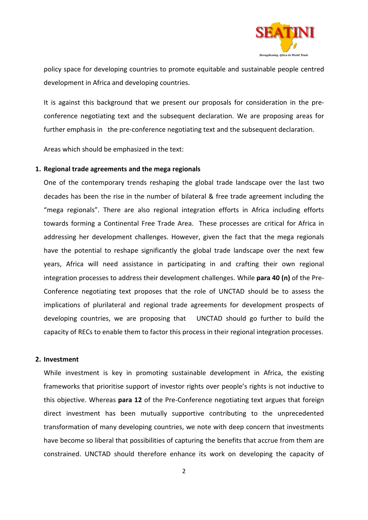

policy space for developing countries to promote equitable and sustainable people centred development in Africa and developing countries.

It is against this background that we present our proposals for consideration in the preconference negotiating text and the subsequent declaration. We are proposing areas for further emphasis in the pre-conference negotiating text and the subsequent declaration.

Areas which should be emphasized in the text:

# **1. Regional trade agreements and the mega regionals**

One of the contemporary trends reshaping the global trade landscape over the last two decades has been the rise in the number of bilateral & free trade agreement including the "mega regionals". There are also regional integration efforts in Africa including efforts towards forming a Continental Free Trade Area. These processes are critical for Africa in addressing her development challenges. However, given the fact that the mega regionals have the potential to reshape significantly the global trade landscape over the next few years, Africa will need assistance in participating in and crafting their own regional integration processes to address their development challenges. While **para 40 (n)** of the Pre-Conference negotiating text proposes that the role of UNCTAD should be to assess the implications of plurilateral and regional trade agreements for development prospects of developing countries, we are proposing that UNCTAD should go further to build the capacity of RECs to enable them to factor this process in their regional integration processes.

## **2. Investment**

While investment is key in promoting sustainable development in Africa, the existing frameworks that prioritise support of investor rights over people's rights is not inductive to this objective. Whereas **para 12** of the Pre-Conference negotiating text argues that foreign direct investment has been mutually supportive contributing to the unprecedented transformation of many developing countries, we note with deep concern that investments have become so liberal that possibilities of capturing the benefits that accrue from them are constrained. UNCTAD should therefore enhance its work on developing the capacity of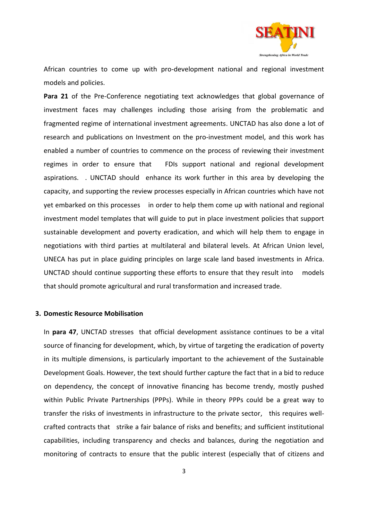

African countries to come up with pro-development national and regional investment models and policies.

**Para 21** of the Pre-Conference negotiating text acknowledges that global governance of investment faces may challenges including those arising from the problematic and fragmented regime of international investment agreements. UNCTAD has also done a lot of research and publications on Investment on the pro-investment model, and this work has enabled a number of countries to commence on the process of reviewing their investment regimes in order to ensure that FDIs support national and regional development aspirations. . UNCTAD should enhance its work further in this area by developing the capacity, and supporting the review processes especially in African countries which have not yet embarked on this processes in order to help them come up with national and regional investment model templates that will guide to put in place investment policies that support sustainable development and poverty eradication, and which will help them to engage in negotiations with third parties at multilateral and bilateral levels. At African Union level, UNECA has put in place guiding principles on large scale land based investments in Africa. UNCTAD should continue supporting these efforts to ensure that they result into models that should promote agricultural and rural transformation and increased trade.

#### **3. Domestic Resource Mobilisation**

In **para 47**, UNCTAD stresses that official development assistance continues to be a vital source of financing for development, which, by virtue of targeting the eradication of poverty in its multiple dimensions, is particularly important to the achievement of the Sustainable Development Goals. However, the text should further capture the fact that in a bid to reduce on dependency, the concept of innovative financing has become trendy, mostly pushed within Public Private Partnerships (PPPs). While in theory PPPs could be a great way to transfer the risks of investments in infrastructure to the private sector, this requires wellcrafted contracts that strike a fair balance of risks and benefits; and sufficient institutional capabilities, including transparency and checks and balances, during the negotiation and monitoring of contracts to ensure that the public interest (especially that of citizens and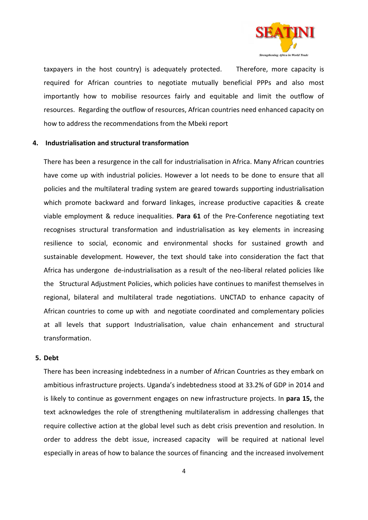

taxpayers in the host country) is adequately protected. Therefore, more capacity is required for African countries to negotiate mutually beneficial PPPs and also most importantly how to mobilise resources fairly and equitable and limit the outflow of resources. Regarding the outflow of resources, African countries need enhanced capacity on how to address the recommendations from the Mbeki report

## **4. Industrialisation and structural transformation**

There has been a resurgence in the call for industrialisation in Africa. Many African countries have come up with industrial policies. However a lot needs to be done to ensure that all policies and the multilateral trading system are geared towards supporting industrialisation which promote backward and forward linkages, increase productive capacities & create viable employment & reduce inequalities. **Para 61** of the Pre-Conference negotiating text recognises structural transformation and industrialisation as key elements in increasing resilience to social, economic and environmental shocks for sustained growth and sustainable development. However, the text should take into consideration the fact that Africa has undergone de-industrialisation as a result of the neo-liberal related policies like the Structural Adjustment Policies, which policies have continues to manifest themselves in regional, bilateral and multilateral trade negotiations. UNCTAD to enhance capacity of African countries to come up with and negotiate coordinated and complementary policies at all levels that support Industrialisation, value chain enhancement and structural transformation.

#### **5. Debt**

There has been increasing indebtedness in a number of African Countries as they embark on ambitious infrastructure projects. Uganda's indebtedness stood at 33.2% of GDP in 2014 and is likely to continue as government engages on new infrastructure projects. In **para 15,** the text acknowledges the role of strengthening multilateralism in addressing challenges that require collective action at the global level such as debt crisis prevention and resolution. In order to address the debt issue, increased capacity will be required at national level especially in areas of how to balance the sources of financing and the increased involvement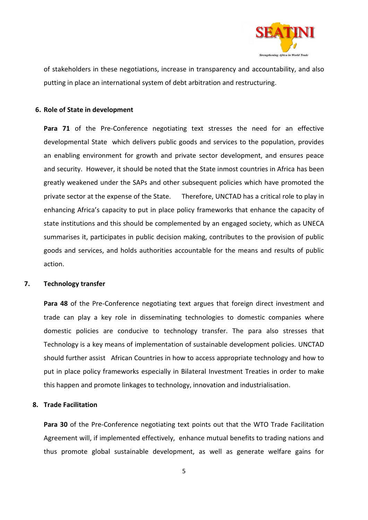

of stakeholders in these negotiations, increase in transparency and accountability, and also putting in place an international system of debt arbitration and restructuring.

# **6. Role of State in development**

**Para 71** of the Pre-Conference negotiating text stresses the need for an effective developmental State which delivers public goods and services to the population, provides an enabling environment for growth and private sector development, and ensures peace and security. However, it should be noted that the State inmost countries in Africa has been greatly weakened under the SAPs and other subsequent policies which have promoted the private sector at the expense of the State. Therefore, UNCTAD has a critical role to play in enhancing Africa's capacity to put in place policy frameworks that enhance the capacity of state institutions and this should be complemented by an engaged society, which as UNECA summarises it, participates in public decision making, contributes to the provision of public goods and services, and holds authorities accountable for the means and results of public action.

# **7. Technology transfer**

**Para 48** of the Pre-Conference negotiating text argues that foreign direct investment and trade can play a key role in disseminating technologies to domestic companies where domestic policies are conducive to technology transfer. The para also stresses that Technology is a key means of implementation of sustainable development policies. UNCTAD should further assist African Countries in how to access appropriate technology and how to put in place policy frameworks especially in Bilateral Investment Treaties in order to make this happen and promote linkages to technology, innovation and industrialisation.

## **8. Trade Facilitation**

**Para 30** of the Pre-Conference negotiating text points out that the WTO Trade Facilitation Agreement will, if implemented effectively, enhance mutual benefits to trading nations and thus promote global sustainable development, as well as generate welfare gains for